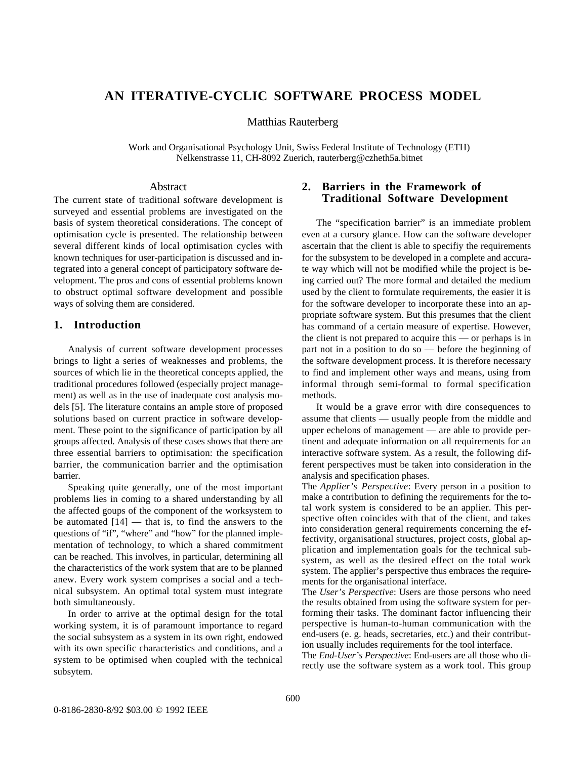#### **AN ITERATIVE-CYCLIC SOFTWARE PROCESS MODEL**

Matthias Rauterberg

Work and Organisational Psychology Unit, Swiss Federal Institute of Technology (ETH) Nelkenstrasse 11, CH-8092 Zuerich, rauterberg@czheth5a.bitnet

#### Abstract

The current state of traditional software development is surveyed and essential problems are investigated on the basis of system theoretical considerations. The concept of optimisation cycle is presented. The relationship between several different kinds of local optimisation cycles with known techniques for user-participation is discussed and integrated into a general concept of participatory software development. The pros and cons of essential problems known to obstruct optimal software development and possible ways of solving them are considered.

#### **1. Introduction**

Analysis of current software development processes brings to light a series of weaknesses and problems, the sources of which lie in the theoretical concepts applied, the traditional procedures followed (especially project management) as well as in the use of inadequate cost analysis models [5]. The literature contains an ample store of proposed solutions based on current practice in software development. These point to the significance of participation by all groups affected. Analysis of these cases shows that there are three essential barriers to optimisation: the specification barrier, the communication barrier and the optimisation barrier.

Speaking quite generally, one of the most important problems lies in coming to a shared understanding by all the affected goups of the component of the worksystem to be automated  $[14]$  — that is, to find the answers to the questions of "if", "where" and "how" for the planned implementation of technology, to which a shared commitment can be reached. This involves, in particular, determining all the characteristics of the work system that are to be planned anew. Every work system comprises a social and a technical subsystem. An optimal total system must integrate both simultaneously.

In order to arrive at the optimal design for the total working system, it is of paramount importance to regard the social subsystem as a system in its own right, endowed with its own specific characteristics and conditions, and a system to be optimised when coupled with the technical subsytem.

#### **2. Barriers in the Framework of Traditional Software Development**

The "specification barrier" is an immediate problem even at a cursory glance. How can the software developer ascertain that the client is able to specifiy the requirements for the subsystem to be developed in a complete and accurate way which will not be modified while the project is being carried out? The more formal and detailed the medium used by the client to formulate requirements, the easier it is for the software developer to incorporate these into an appropriate software system. But this presumes that the client has command of a certain measure of expertise. However, the client is not prepared to acquire this — or perhaps is in part not in a position to do so — before the beginning of the software development process. It is therefore necessary to find and implement other ways and means, using from informal through semi-formal to formal specification methods.

It would be a grave error with dire consequences to assume that clients — usually people from the middle and upper echelons of management — are able to provide pertinent and adequate information on all requirements for an interactive software system. As a result, the following different perspectives must be taken into consideration in the analysis and specification phases.

The *Applier's Perspective*: Every person in a position to make a contribution to defining the requirements for the total work system is considered to be an applier. This perspective often coincides with that of the client, and takes into consideration general requirements concerning the effectivity, organisational structures, project costs, global application and implementation goals for the technical subsystem, as well as the desired effect on the total work system. The applier's perspective thus embraces the requirements for the organisational interface.

The *User's Perspective*: Users are those persons who need the results obtained from using the software system for performing their tasks. The dominant factor influencing their perspective is human-to-human communication with the end-users (e. g. heads, secretaries, etc.) and their contribution usually includes requirements for the tool interface.

The *End-User's Perspective*: End-users are all those who directly use the software system as a work tool. This group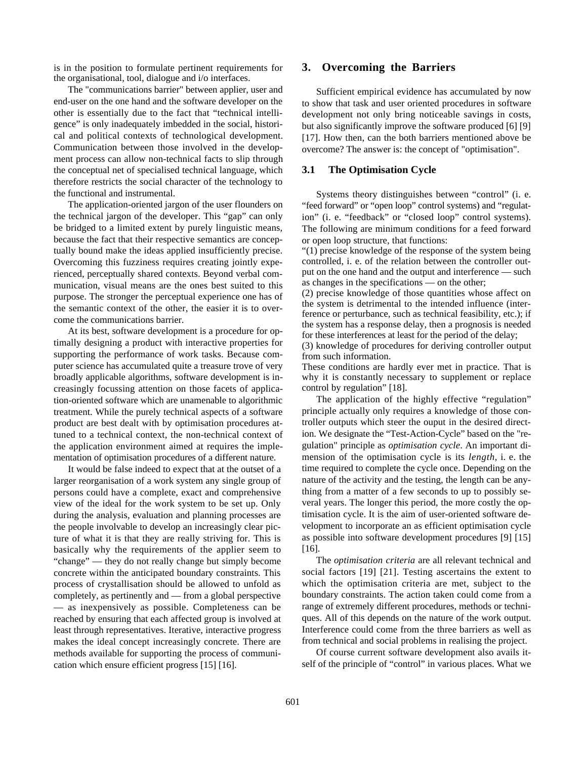is in the position to formulate pertinent requirements for the organisational, tool, dialogue and i/o interfaces.

The "communications barrier" between applier, user and end-user on the one hand and the software developer on the other is essentially due to the fact that "technical intelligence" is only inadequately imbedded in the social, historical and political contexts of technological development. Communication between those involved in the development process can allow non-technical facts to slip through the conceptual net of specialised technical language, which therefore restricts the social character of the technology to the functional and instrumental.

The application-oriented jargon of the user flounders on the technical jargon of the developer. This "gap" can only be bridged to a limited extent by purely linguistic means, because the fact that their respective semantics are conceptually bound make the ideas applied insufficiently precise. Overcoming this fuzziness requires creating jointly experienced, perceptually shared contexts. Beyond verbal communication, visual means are the ones best suited to this purpose. The stronger the perceptual experience one has of the semantic context of the other, the easier it is to overcome the communications barrier.

At its best, software development is a procedure for optimally designing a product with interactive properties for supporting the performance of work tasks. Because computer science has accumulated quite a treasure trove of very broadly applicable algorithms, software development is increasingly focussing attention on those facets of application-oriented software which are unamenable to algorithmic treatment. While the purely technical aspects of a software product are best dealt with by optimisation procedures attuned to a technical context, the non-technical context of the application environment aimed at requires the implementation of optimisation procedures of a different nature.

It would be false indeed to expect that at the outset of a larger reorganisation of a work system any single group of persons could have a complete, exact and comprehensive view of the ideal for the work system to be set up. Only during the analysis, evaluation and planning processes are the people involvable to develop an increasingly clear picture of what it is that they are really striving for. This is basically why the requirements of the applier seem to "change" — they do not really change but simply become concrete within the anticipated boundary constraints. This process of crystallisation should be allowed to unfold as completely, as pertinently and — from a global perspective — as inexpensively as possible. Completeness can be reached by ensuring that each affected group is involved at least through representatives. Iterative, interactive progress makes the ideal concept increasingly concrete. There are methods available for supporting the process of communication which ensure efficient progress [15] [16].

#### **3. Overcoming the Barriers**

Sufficient empirical evidence has accumulated by now to show that task and user oriented procedures in software development not only bring noticeable savings in costs, but also significantly improve the software produced [6] [9] [17]. How then, can the both barriers mentioned above be overcome? The answer is: the concept of "optimisation".

#### **3.1 The Optimisation Cycle**

Systems theory distinguishes between "control" (i. e. "feed forward" or "open loop" control systems) and "regulation" (i. e. "feedback" or "closed loop" control systems). The following are minimum conditions for a feed forward or open loop structure, that functions:

"(1) precise knowledge of the response of the system being controlled, i. e. of the relation between the controller output on the one hand and the output and interference — such as changes in the specifications — on the other;

(2) precise knowledge of those quantities whose affect on the system is detrimental to the intended influence (interference or perturbance, such as technical feasibility, etc.); if the system has a response delay, then a prognosis is needed for these interferences at least for the period of the delay;

(3) knowledge of procedures for deriving controller output from such information.

These conditions are hardly ever met in practice. That is why it is constantly necessary to supplement or replace control by regulation" [18].

The application of the highly effective "regulation" principle actually only requires a knowledge of those controller outputs which steer the ouput in the desired direction. We designate the "Test-Action-Cycle" based on the "regulation" principle as *optimisation cycle*. An important dimension of the optimisation cycle is its *length*, i. e. the time required to complete the cycle once. Depending on the nature of the activity and the testing, the length can be anything from a matter of a few seconds to up to possibly several years. The longer this period, the more costly the optimisation cycle. It is the aim of user-oriented software development to incorporate an as efficient optimisation cycle as possible into software development procedures [9] [15] [16].

The *optimisation criteria* are all relevant technical and social factors [19] [21]. Testing ascertains the extent to which the optimisation criteria are met, subject to the boundary constraints. The action taken could come from a range of extremely different procedures, methods or techniques. All of this depends on the nature of the work output. Interference could come from the three barriers as well as from technical and social problems in realising the project.

Of course current software development also avails itself of the principle of "control" in various places. What we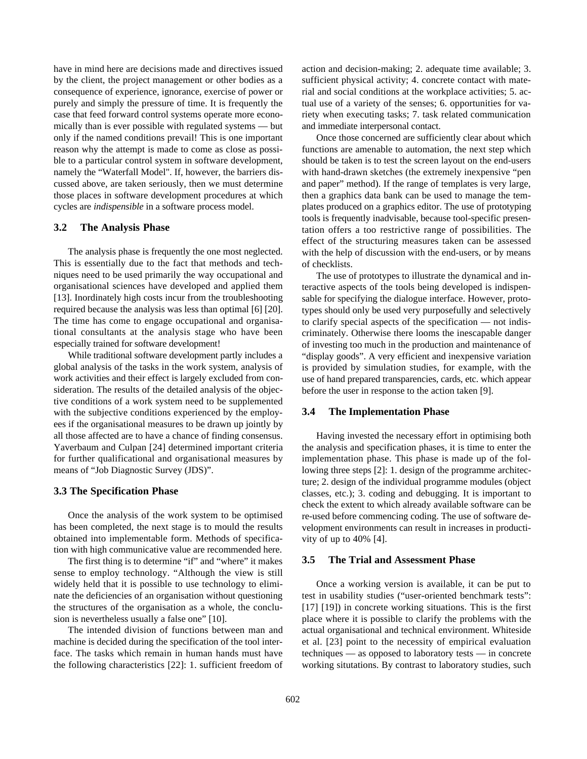have in mind here are decisions made and directives issued by the client, the project management or other bodies as a consequence of experience, ignorance, exercise of power or purely and simply the pressure of time. It is frequently the case that feed forward control systems operate more economically than is ever possible with regulated systems — but only if the named conditions prevail! This is one important reason why the attempt is made to come as close as possible to a particular control system in software development, namely the "Waterfall Model". If, however, the barriers discussed above, are taken seriously, then we must determine those places in software development procedures at which cycles are *indispensible* in a software process model.

#### **3.2 The Analysis Phase**

The analysis phase is frequently the one most neglected. This is essentially due to the fact that methods and techniques need to be used primarily the way occupational and organisational sciences have developed and applied them [13]. Inordinately high costs incur from the troubleshooting required because the analysis was less than optimal [6] [20]. The time has come to engage occupational and organisational consultants at the analysis stage who have been especially trained for software development!

While traditional software development partly includes a global analysis of the tasks in the work system, analysis of work activities and their effect is largely excluded from consideration. The results of the detailed analysis of the objective conditions of a work system need to be supplemented with the subjective conditions experienced by the employees if the organisational measures to be drawn up jointly by all those affected are to have a chance of finding consensus. Yaverbaum and Culpan [24] determined important criteria for further qualificational and organisational measures by means of "Job Diagnostic Survey (JDS)".

#### **3.3 The Specification Phase**

Once the analysis of the work system to be optimised has been completed, the next stage is to mould the results obtained into implementable form. Methods of specification with high communicative value are recommended here.

The first thing is to determine "if" and "where" it makes sense to employ technology. "Although the view is still widely held that it is possible to use technology to eliminate the deficiencies of an organisation without questioning the structures of the organisation as a whole, the conclusion is nevertheless usually a false one" [10].

The intended division of functions between man and machine is decided during the specification of the tool interface. The tasks which remain in human hands must have the following characteristics [22]: 1. sufficient freedom of action and decision-making; 2. adequate time available; 3. sufficient physical activity; 4. concrete contact with material and social conditions at the workplace activities; 5. actual use of a variety of the senses; 6. opportunities for variety when executing tasks; 7. task related communication and immediate interpersonal contact.

Once those concerned are sufficiently clear about which functions are amenable to automation, the next step which should be taken is to test the screen layout on the end-users with hand-drawn sketches (the extremely inexpensive "pen and paper" method). If the range of templates is very large, then a graphics data bank can be used to manage the templates produced on a graphics editor. The use of prototyping tools is frequently inadvisable, because tool-specific presentation offers a too restrictive range of possibilities. The effect of the structuring measures taken can be assessed with the help of discussion with the end-users, or by means of checklists.

The use of prototypes to illustrate the dynamical and interactive aspects of the tools being developed is indispensable for specifying the dialogue interface. However, prototypes should only be used very purposefully and selectively to clarify special aspects of the specification — not indiscriminately. Otherwise there looms the inescapable danger of investing too much in the production and maintenance of "display goods". A very efficient and inexpensive variation is provided by simulation studies, for example, with the use of hand prepared transparencies, cards, etc. which appear before the user in response to the action taken [9].

#### **3.4 The Implementation Phase**

Having invested the necessary effort in optimising both the analysis and specification phases, it is time to enter the implementation phase. This phase is made up of the following three steps [2]: 1. design of the programme architecture; 2. design of the individual programme modules (object classes, etc.); 3. coding and debugging. It is important to check the extent to which already available software can be re-used before commencing coding. The use of software development environments can result in increases in productivity of up to 40% [4].

#### **3.5 The Trial and Assessment Phase**

Once a working version is available, it can be put to test in usability studies ("user-oriented benchmark tests": [17] [19]) in concrete working situations. This is the first place where it is possible to clarify the problems with the actual organisational and technical environment. Whiteside et al. [23] point to the necessity of empirical evaluation techniques — as opposed to laboratory tests — in concrete working situtations. By contrast to laboratory studies, such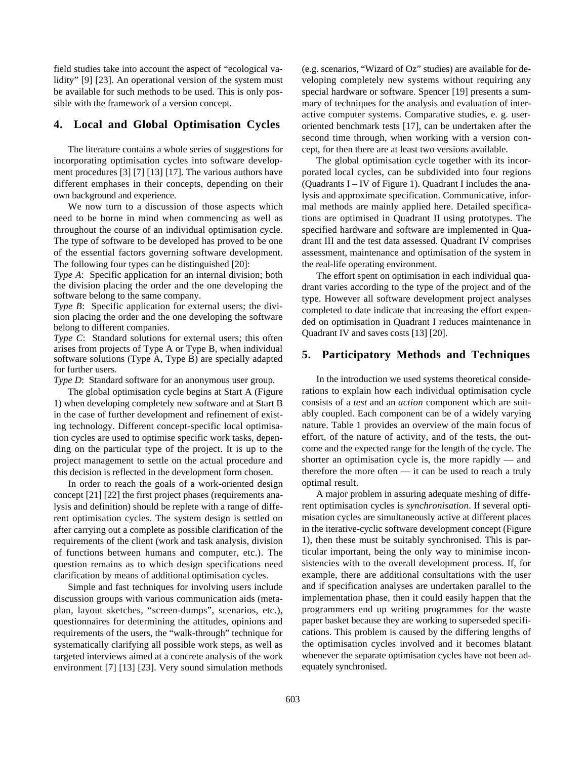field studies take into account the aspect of "ecological validity" [9] [23]. An operational version of the system must be available for such methods to be used. This is only possible with the framework of a version concept.

#### **4. Local and Global Optimisation Cycles**

The literature contains a whole series of suggestions for incorporating optimisation cycles into software development procedures [3] [7] [13] [17]. The various authors have different emphases in their concepts, depending on their own background and experience.

We now turn to a discussion of those aspects which need to be borne in mind when commencing as well as throughout the course of an individual optimisation cycle. The type of software to be developed has proved to be one of the essential factors governing software development. The following four types can be distinguished [20]:

*Type A*: Specific application for an internal division; both the division placing the order and the one developing the software belong to the same company.

*Type B*: Specific application for external users; the division placing the order and the one developing the software belong to different companies.

*Type C*: Standard solutions for external users; this often arises from projects of Type A or Type B, when individual software solutions (Type A, Type B) are specially adapted for further users.

*Type D*: Standard software for an anonymous user group.

The global optimisation cycle begins at Start A (Figure 1) when developing completely new software and at Start B in the case of further development and refinement of existing technology. Different concept-specific local optimisation cycles are used to optimise specific work tasks, depending on the particular type of the project. It is up to the project management to settle on the actual procedure and this decision is reflected in the development form chosen.

In order to reach the goals of a work-oriented design concept [21] [22] the first project phases (requirements analysis and definition) should be replete with a range of different optimisation cycles. The system design is settled on after carrying out a complete as possible clarification of the requirements of the client (work and task analysis, division of functions between humans and computer, etc.). The question remains as to which design specifications need clarification by means of additional optimisation cycles.

Simple and fast techniques for involving users include discussion groups with various communication aids (metaplan, layout sketches, "screen-dumps", scenarios, etc.), questionnaires for determining the attitudes, opinions and requirements of the users, the "walk-through" technique for systematically clarifying all possible work steps, as well as targeted interviews aimed at a concrete analysis of the work environment [7] [13] [23]. Very sound simulation methods (e.g. scenarios, "Wizard of Oz" studies) are available for developing completely new systems without requiring any special hardware or software. Spencer [19] presents a summary of techniques for the analysis and evaluation of interactive computer systems. Comparative studies, e. g. useroriented benchmark tests [17], can be undertaken after the second time through, when working with a version concept, for then there are at least two versions available.

The global optimisation cycle together with its incorporated local cycles, can be subdivided into four regions (Quadrants I – IV of Figure 1). Quadrant I includes the analysis and approximate specification. Communicative, informal methods are mainly applied here. Detailed specifications are optimised in Quadrant II using prototypes. The specified hardware and software are implemented in Quadrant III and the test data assessed. Quadrant IV comprises assessment, maintenance and optimisation of the system in the real-life operating environment.

The effort spent on optimisation in each individual quadrant varies according to the type of the project and of the type. However all software development project analyses completed to date indicate that increasing the effort expended on optimisation in Quadrant I reduces maintenance in Quadrant IV and saves costs [13] [20].

#### **5. Participatory Methods and Techniques**

In the introduction we used systems theoretical considerations to explain how each individual optimisation cycle consists of a *test* and an *action* component which are suitably coupled. Each component can be of a widely varying nature. Table 1 provides an overview of the main focus of effort, of the nature of activity, and of the tests, the outcome and the expected range for the length of the cycle. The shorter an optimisation cycle is, the more rapidly — and therefore the more often — it can be used to reach a truly optimal result.

A major problem in assuring adequate meshing of different optimisation cycles is *synchronisation*. If several optimisation cycles are simultaneously active at different places in the iterative-cyclic software development concept (Figure 1), then these must be suitably synchronised. This is particular important, being the only way to minimise inconsistencies with to the overall development process. If, for example, there are additional consultations with the user and if specification analyses are undertaken parallel to the implementation phase, then it could easily happen that the programmers end up writing programmes for the waste paper basket because they are working to superseded specifications. This problem is caused by the differing lengths of the optimisation cycles involved and it becomes blatant whenever the separate optimisation cycles have not been adequately synchronised.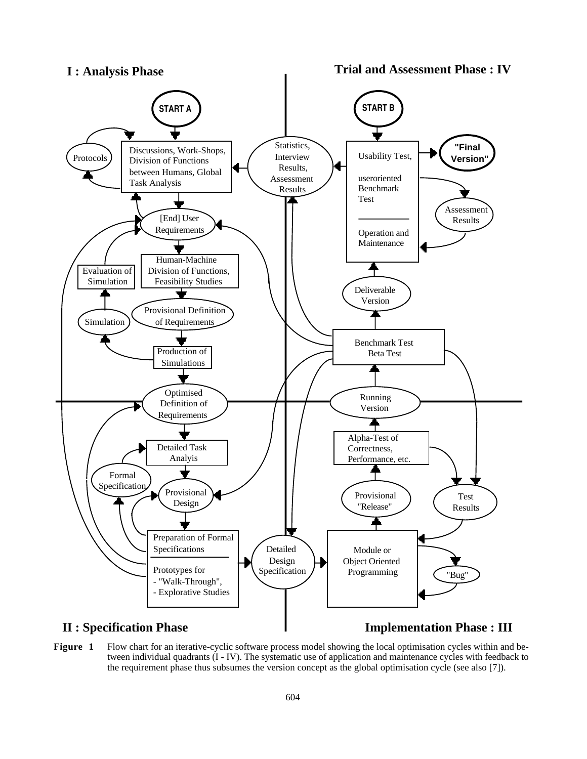

#### **Figure 1** Flow chart for an iterative-cyclic software process model showing the local optimisation cycles within and between individual quadrants (I - IV). The systematic use of application and maintenance cycles with feedback to the requirement phase thus subsumes the version concept as the global optimisation cycle (see also [7]).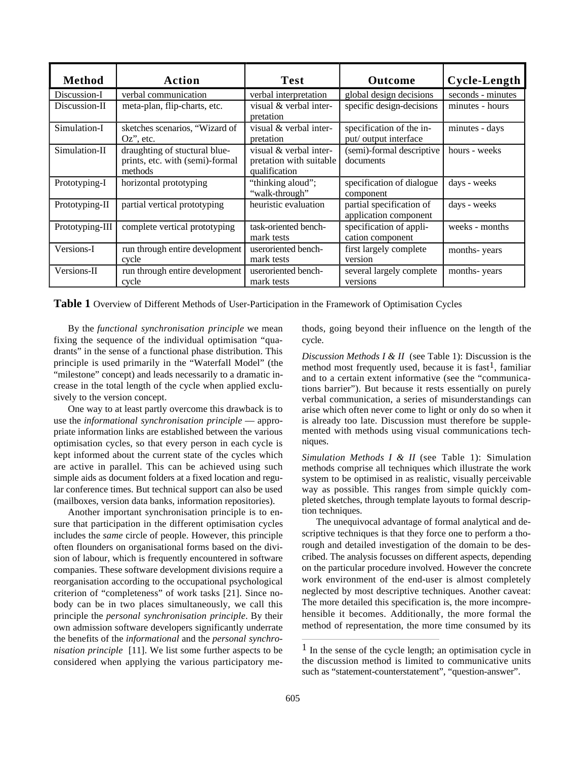| <b>Method</b>   | Action                                                                      | <b>Test</b>                                                        | <b>Outcome</b>                                    | Cycle-Length      |
|-----------------|-----------------------------------------------------------------------------|--------------------------------------------------------------------|---------------------------------------------------|-------------------|
| Discussion-I    | verbal communication                                                        | verbal interpretation                                              | global design decisions                           | seconds - minutes |
| Discussion-II   | meta-plan, flip-charts, etc.                                                | visual & verbal inter-<br>pretation                                | specific design-decisions                         | minutes - hours   |
| Simulation-I    | sketches scenarios, "Wizard of<br>$Oz$ , etc.                               | visual & verbal inter-<br>pretation                                | specification of the in-<br>put/ output interface | minutes - days    |
| Simulation-II   | draughting of stuctural blue-<br>prints, etc. with (semi)-formal<br>methods | visual & verbal inter-<br>pretation with suitable<br>qualification | (semi)-formal descriptive<br>documents            | hours - weeks     |
| Prototyping-I   | horizontal prototyping                                                      | "thinking aloud";<br>"walk-through"                                | specification of dialogue<br>component            | days - weeks      |
| Prototyping-II  | partial vertical prototyping                                                | heuristic evaluation                                               | partial specification of<br>application component | days - weeks      |
| Prototyping-III | complete vertical prototyping                                               | task-oriented bench-<br>mark tests                                 | specification of appli-<br>cation component       | weeks - months    |
| Versions-I      | run through entire development<br>cycle                                     | useroriented bench-<br>mark tests                                  | first largely complete<br>version                 | months-years      |
| Versions-II     | run through entire development<br>cycle                                     | useroriented bench-<br>mark tests                                  | several largely complete<br>versions              | months-years      |

**Table 1** Overview of Different Methods of User-Participation in the Framework of Optimisation Cycles

By the *functional synchronisation principle* we mean fixing the sequence of the individual optimisation "quadrants" in the sense of a functional phase distribution. This principle is used primarily in the "Waterfall Model" (the "milestone" concept) and leads necessarily to a dramatic increase in the total length of the cycle when applied exclusively to the version concept.

One way to at least partly overcome this drawback is to use the *informational synchronisation principle* — appropriate information links are established between the various optimisation cycles, so that every person in each cycle is kept informed about the current state of the cycles which are active in parallel. This can be achieved using such simple aids as document folders at a fixed location and regular conference times. But technical support can also be used (mailboxes, version data banks, information repositories).

Another important synchronisation principle is to ensure that participation in the different optimisation cycles includes the *same* circle of people. However, this principle often flounders on organisational forms based on the division of labour, which is frequently encountered in software companies. These software development divisions require a reorganisation according to the occupational psychological criterion of "completeness" of work tasks [21]. Since nobody can be in two places simultaneously, we call this principle the *personal synchronisation principle*. By their own admission software developers significantly underrate the benefits of the *informational* and the *personal synchronisation principle* [11]. We list some further aspects to be considered when applying the various participatory methods, going beyond their influence on the length of the cycle.

*Discussion Methods I & II* (see Table 1): Discussion is the method most frequently used, because it is fast<sup>1</sup>, familiar and to a certain extent informative (see the "communications barrier"). But because it rests essentially on purely verbal communication, a series of misunderstandings can arise which often never come to light or only do so when it is already too late. Discussion must therefore be supplemented with methods using visual communications techniques.

*Simulation Methods I & II* (see Table 1): Simulation methods comprise all techniques which illustrate the work system to be optimised in as realistic, visually perceivable way as possible. This ranges from simple quickly completed sketches, through template layouts to formal description techniques.

The unequivocal advantage of formal analytical and descriptive techniques is that they force one to perform a thorough and detailed investigation of the domain to be described. The analysis focusses on different aspects, depending on the particular procedure involved. However the concrete work environment of the end-user is almost completely neglected by most descriptive techniques. Another caveat: The more detailed this specification is, the more incomprehensible it becomes. Additionally, the more formal the method of representation, the more time consumed by its

<sup>1</sup> In the sense of the cycle length; an optimisation cycle in the discussion method is limited to communicative units such as "statement-counterstatement", "question-answer".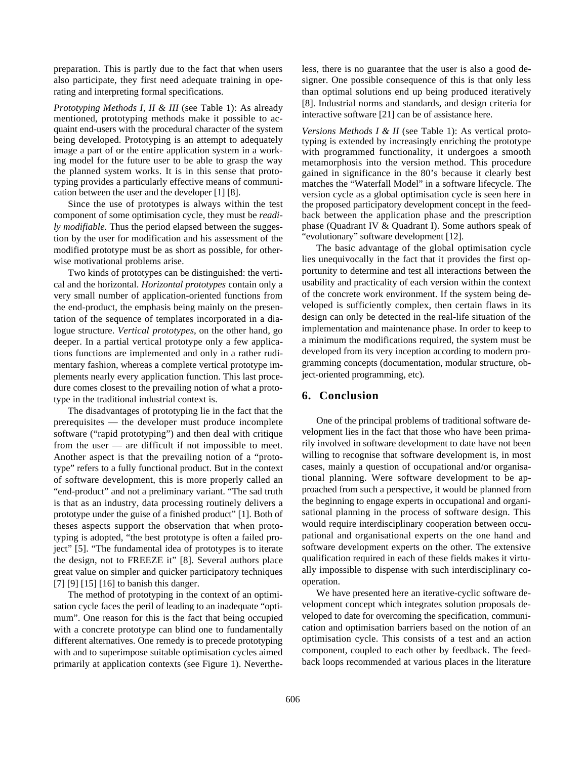preparation. This is partly due to the fact that when users also participate, they first need adequate training in operating and interpreting formal specifications.

*Prototyping Methods I, II & III* (see Table 1): As already mentioned, prototyping methods make it possible to acquaint end-users with the procedural character of the system being developed. Prototyping is an attempt to adequately image a part of or the entire application system in a working model for the future user to be able to grasp the way the planned system works. It is in this sense that prototyping provides a particularly effective means of communication between the user and the developer [1] [8].

Since the use of prototypes is always within the test component of some optimisation cycle, they must be *readily modifiable*. Thus the period elapsed between the suggestion by the user for modification and his assessment of the modified prototype must be as short as possible, for otherwise motivational problems arise.

Two kinds of prototypes can be distinguished: the vertical and the horizontal. *Horizontal prototypes* contain only a very small number of application-oriented functions from the end-product, the emphasis being mainly on the presentation of the sequence of templates incorporated in a dialogue structure. *Vertical prototypes*, on the other hand, go deeper. In a partial vertical prototype only a few applications functions are implemented and only in a rather rudimentary fashion, whereas a complete vertical prototype implements nearly every application function. This last procedure comes closest to the prevailing notion of what a prototype in the traditional industrial context is.

The disadvantages of prototyping lie in the fact that the prerequisites — the developer must produce incomplete software ("rapid prototyping") and then deal with critique from the user — are difficult if not impossible to meet. Another aspect is that the prevailing notion of a "prototype" refers to a fully functional product. But in the context of software development, this is more properly called an "end-product" and not a preliminary variant. "The sad truth is that as an industry, data processing routinely delivers a prototype under the guise of a finished product" [1]. Both of theses aspects support the observation that when prototyping is adopted, "the best prototype is often a failed project" [5]. "The fundamental idea of prototypes is to iterate the design, not to FREEZE it" [8]. Several authors place great value on simpler and quicker participatory techniques [7] [9] [15] [16] to banish this danger.

The method of prototyping in the context of an optimisation cycle faces the peril of leading to an inadequate "optimum". One reason for this is the fact that being occupied with a concrete prototype can blind one to fundamentally different alternatives. One remedy is to precede prototyping with and to superimpose suitable optimisation cycles aimed primarily at application contexts (see Figure 1). Nevertheless, there is no guarantee that the user is also a good designer. One possible consequence of this is that only less than optimal solutions end up being produced iteratively [8]. Industrial norms and standards, and design criteria for interactive software [21] can be of assistance here.

*Versions Methods I & II* (see Table 1): As vertical prototyping is extended by increasingly enriching the prototype with programmed functionality, it undergoes a smooth metamorphosis into the version method. This procedure gained in significance in the 80's because it clearly best matches the "Waterfall Model" in a software lifecycle. The version cycle as a global optimisation cycle is seen here in the proposed participatory development concept in the feedback between the application phase and the prescription phase (Quadrant IV & Quadrant I). Some authors speak of "evolutionary" software development [12].

The basic advantage of the global optimisation cycle lies unequivocally in the fact that it provides the first opportunity to determine and test all interactions between the usability and practicality of each version within the context of the concrete work environment. If the system being developed is sufficiently complex, then certain flaws in its design can only be detected in the real-life situation of the implementation and maintenance phase. In order to keep to a minimum the modifications required, the system must be developed from its very inception according to modern programming concepts (documentation, modular structure, object-oriented programming, etc).

#### **6. Conclusion**

One of the principal problems of traditional software development lies in the fact that those who have been primarily involved in software development to date have not been willing to recognise that software development is, in most cases, mainly a question of occupational and/or organisational planning. Were software development to be approached from such a perspective, it would be planned from the beginning to engage experts in occupational and organisational planning in the process of software design. This would require interdisciplinary cooperation between occupational and organisational experts on the one hand and software development experts on the other. The extensive qualification required in each of these fields makes it virtually impossible to dispense with such interdisciplinary cooperation.

We have presented here an iterative-cyclic software development concept which integrates solution proposals developed to date for overcoming the specification, communication and optimisation barriers based on the notion of an optimisation cycle. This consists of a test and an action component, coupled to each other by feedback. The feedback loops recommended at various places in the literature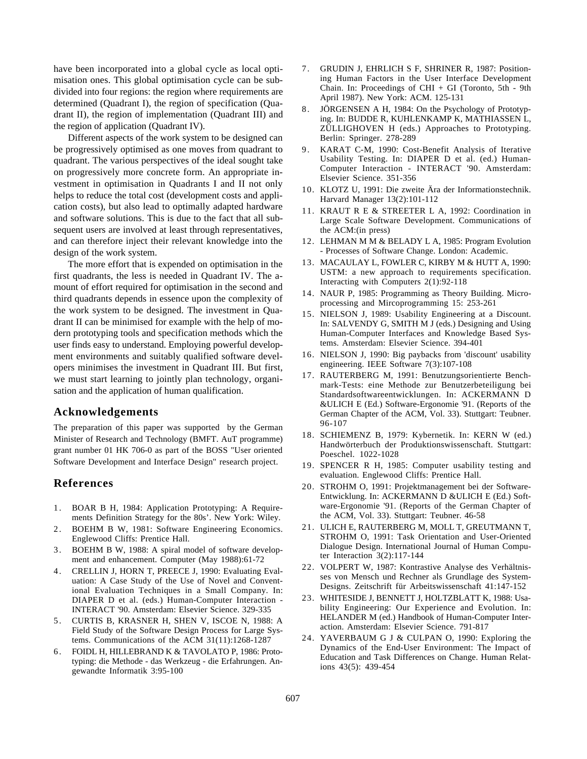have been incorporated into a global cycle as local optimisation ones. This global optimisation cycle can be subdivided into four regions: the region where requirements are determined (Quadrant I), the region of specification (Quadrant II), the region of implementation (Quadrant III) and the region of application (Quadrant IV).

Different aspects of the work system to be designed can be progressively optimised as one moves from quadrant to quadrant. The various perspectives of the ideal sought take on progressively more concrete form. An appropriate investment in optimisation in Quadrants I and II not only helps to reduce the total cost (development costs and application costs), but also lead to optimally adapted hardware and software solutions. This is due to the fact that all subsequent users are involved at least through representatives, and can therefore inject their relevant knowledge into the design of the work system.

The more effort that is expended on optimisation in the first quadrants, the less is needed in Quadrant IV. The amount of effort required for optimisation in the second and third quadrants depends in essence upon the complexity of the work system to be designed. The investment in Quadrant II can be minimised for example with the help of modern prototyping tools and specification methods which the user finds easy to understand. Employing powerful development environments and suitably qualified software developers minimises the investment in Quadrant III. But first, we must start learning to jointly plan technology, organisation and the application of human qualification.

#### **Acknowledgements**

The preparation of this paper was supported by the German Minister of Research and Technology (BMFT. AuT programme) grant number 01 HK 706-0 as part of the BOSS "User oriented Software Development and Interface Design" research project.

#### **References**

- 1. BOAR B H, 1984: Application Prototyping: A Requirements Definition Strategy for the 80s'. New York: Wiley.
- 2. BOEHM B W, 1981: Software Engineering Economics. Englewood Cliffs: Prentice Hall.
- 3 . BOEHM B W, 1988: A spiral model of software development and enhancement. Computer (May 1988):61-72
- 4 . CRELLIN J, HORN T, PREECE J, 1990: Evaluating Evaluation: A Case Study of the Use of Novel and Conventional Evaluation Techniques in a Small Company. In: DIAPER D et al. (eds.) Human-Computer Interaction - INTERACT '90. Amsterdam: Elsevier Science. 329-335
- 5 . CURTIS B, KRASNER H, SHEN V, ISCOE N, 1988: A Field Study of the Software Design Process for Large Systems. Communications of the ACM 31(11):1268-1287
- 6 . FOIDL H, HILLEBRAND K & TAVOLATO P, 1986: Prototyping: die Methode - das Werkzeug - die Erfahrungen. Angewandte Informatik 3:95-100
- 7 . GRUDIN J, EHRLICH S F, SHRINER R, 1987: Positioning Human Factors in the User Interface Development Chain. In: Proceedings of CHI + GI (Toronto, 5th - 9th April 1987). New York: ACM. 125-131
- 8. JÖRGENSEN A H, 1984: On the Psychology of Prototyping. In: BUDDE R, KUHLENKAMP K, MATHIASSEN L, ZÜLLIGHOVEN H (eds.) Approaches to Prototyping. Berlin: Springer. 278-289
- 9. KARAT C-M, 1990: Cost-Benefit Analysis of Iterative Usability Testing. In: DIAPER D et al. (ed.) Human-Computer Interaction - INTERACT '90. Amsterdam: Elsevier Science. 351-356
- 10. KLOTZ U, 1991: Die zweite Ära der Informationstechnik. Harvard Manager 13(2):101-112
- 11. KRAUT R E & STREETER L A, 1992: Coordination in Large Scale Software Development. Communications of the ACM:(in press)
- 12. LEHMAN M M & BELADY L A, 1985: Program Evolution - Processes of Software Change. London: Academic.
- 13. MACAULAY L, FOWLER C, KIRBY M & HUTT A, 1990: USTM: a new approach to requirements specification. Interacting with Computers 2(1):92-118
- 14. NAUR P, 1985: Programming as Theory Building. Microprocessing and Mircoprogramming 15: 253-261
- 15. NIELSON J, 1989: Usability Engineering at a Discount. In: SALVENDY G, SMITH M J (eds.) Designing and Using Human-Computer Interfaces and Knowledge Based Systems. Amsterdam: Elsevier Science. 394-401
- 16. NIELSON J, 1990: Big paybacks from 'discount' usability engineering. IEEE Software 7(3):107-108
- 17. RAUTERBERG M, 1991: Benutzungsorientierte Benchmark-Tests: eine Methode zur Benutzerbeteiligung bei Standardsoftwareentwicklungen. In: ACKERMANN D &ULICH E (Ed.) Software-Ergonomie '91. (Reports of the German Chapter of the ACM, Vol. 33). Stuttgart: Teubner. 96-107
- 18. SCHIEMENZ B, 1979: Kybernetik. In: KERN W (ed.) Handwörterbuch der Produktionswissenschaft. Stuttgart: Poeschel. 1022-1028
- 19. SPENCER R H, 1985: Computer usability testing and evaluation. Englewood Cliffs: Prentice Hall.
- 20. STROHM O, 1991: Projektmanagement bei der Software-Entwicklung. In: ACKERMANN D &ULICH E (Ed.) Software-Ergonomie '91. (Reports of the German Chapter of the ACM, Vol. 33). Stuttgart: Teubner. 46-58
- 21. ULICH E, RAUTERBERG M, MOLL T, GREUTMANN T, STROHM O, 1991: Task Orientation and User-Oriented Dialogue Design. International Journal of Human Computer Interaction 3(2):117-144
- 22. VOLPERT W, 1987: Kontrastive Analyse des Verhältnisses von Mensch und Rechner als Grundlage des System-Designs. Zeitschrift für Arbeitswissenschaft 41:147-152
- 23. WHITESIDE J, BENNETT J, HOLTZBLATT K, 1988: Usability Engineering: Our Experience and Evolution. In: HELANDER M (ed.) Handbook of Human-Computer Interaction. Amsterdam: Elsevier Science. 791-817
- 24. YAVERBAUM G J & CULPAN O, 1990: Exploring the Dynamics of the End-User Environment: The Impact of Education and Task Differences on Change. Human Relations 43(5): 439-454